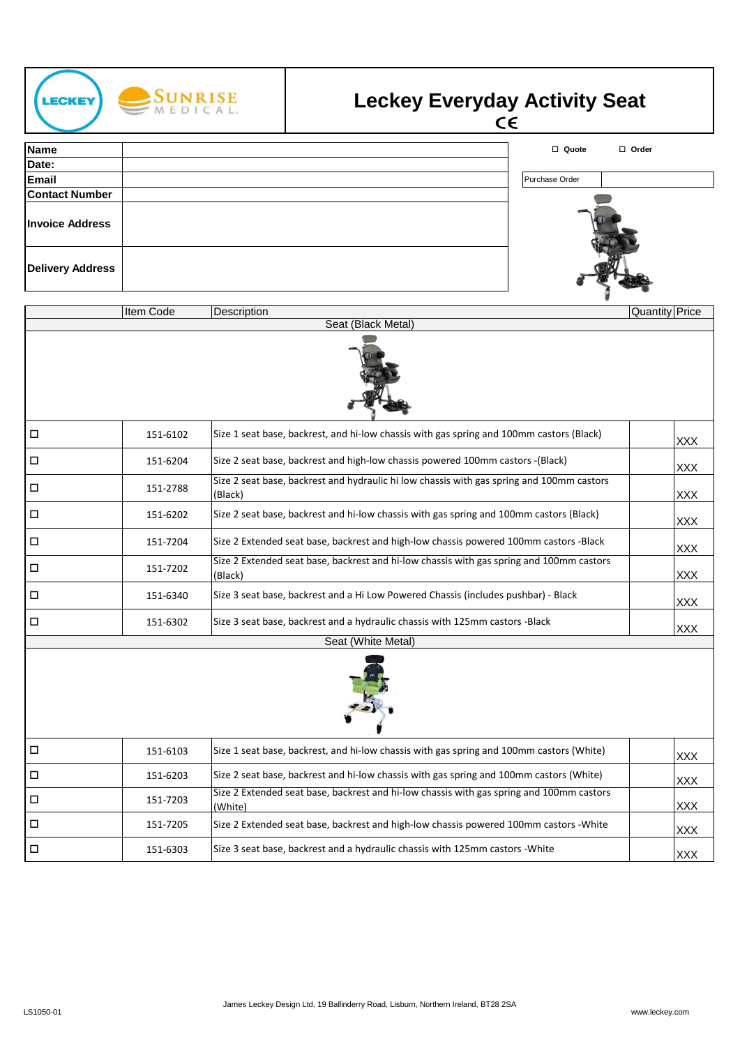

## Leckey Everyday Activity Seat<br>CE

| <b>Name</b>             | □ Quote<br>$\Box$ Order |
|-------------------------|-------------------------|
| Date:                   |                         |
| <b>Email</b>            | Purchase Order          |
| <b>Contact Number</b>   |                         |
| <b>Invoice Address</b>  |                         |
| <b>Delivery Address</b> |                         |

|                    | <b>Item Code</b> | Description                                                                                          | <b>Quantity Price</b> |  |  |
|--------------------|------------------|------------------------------------------------------------------------------------------------------|-----------------------|--|--|
|                    |                  | Seat (Black Metal)                                                                                   |                       |  |  |
|                    |                  |                                                                                                      |                       |  |  |
| $\Box$             | 151-6102         | Size 1 seat base, backrest, and hi-low chassis with gas spring and 100mm castors (Black)             | <b>XXX</b>            |  |  |
| □                  | 151-6204         | Size 2 seat base, backrest and high-low chassis powered 100mm castors -(Black)                       | <b>XXX</b>            |  |  |
| $\Box$             | 151-2788         | Size 2 seat base, backrest and hydraulic hi low chassis with gas spring and 100mm castors<br>(Black) | <b>XXX</b>            |  |  |
| □                  | 151-6202         | Size 2 seat base, backrest and hi-low chassis with gas spring and 100mm castors (Black)              | <b>XXX</b>            |  |  |
| □                  | 151-7204         | Size 2 Extended seat base, backrest and high-low chassis powered 100mm castors -Black                | <b>XXX</b>            |  |  |
| $\Box$             | 151-7202         | Size 2 Extended seat base, backrest and hi-low chassis with gas spring and 100mm castors<br>(Black)  | <b>XXX</b>            |  |  |
| □                  | 151-6340         | Size 3 seat base, backrest and a Hi Low Powered Chassis (includes pushbar) - Black                   | <b>XXX</b>            |  |  |
| □                  | 151-6302         | Size 3 seat base, backrest and a hydraulic chassis with 125mm castors -Black                         | <b>XXX</b>            |  |  |
| Seat (White Metal) |                  |                                                                                                      |                       |  |  |
|                    |                  |                                                                                                      |                       |  |  |
| □                  | 151-6103         | Size 1 seat base, backrest, and hi-low chassis with gas spring and 100mm castors (White)             | <b>XXX</b>            |  |  |
| $\Box$             | 151-6203         | Size 2 seat base, backrest and hi-low chassis with gas spring and 100mm castors (White)              | <b>XXX</b>            |  |  |
| $\Box$             | 151-7203         | Size 2 Extended seat base, backrest and hi-low chassis with gas spring and 100mm castors<br>(White)  | <b>XXX</b>            |  |  |
| $\Box$             | 151-7205         | Size 2 Extended seat base, backrest and high-low chassis powered 100mm castors -White                | <b>XXX</b>            |  |  |
| □                  | 151-6303         | Size 3 seat base, backrest and a hydraulic chassis with 125mm castors - White                        | <b>XXX</b>            |  |  |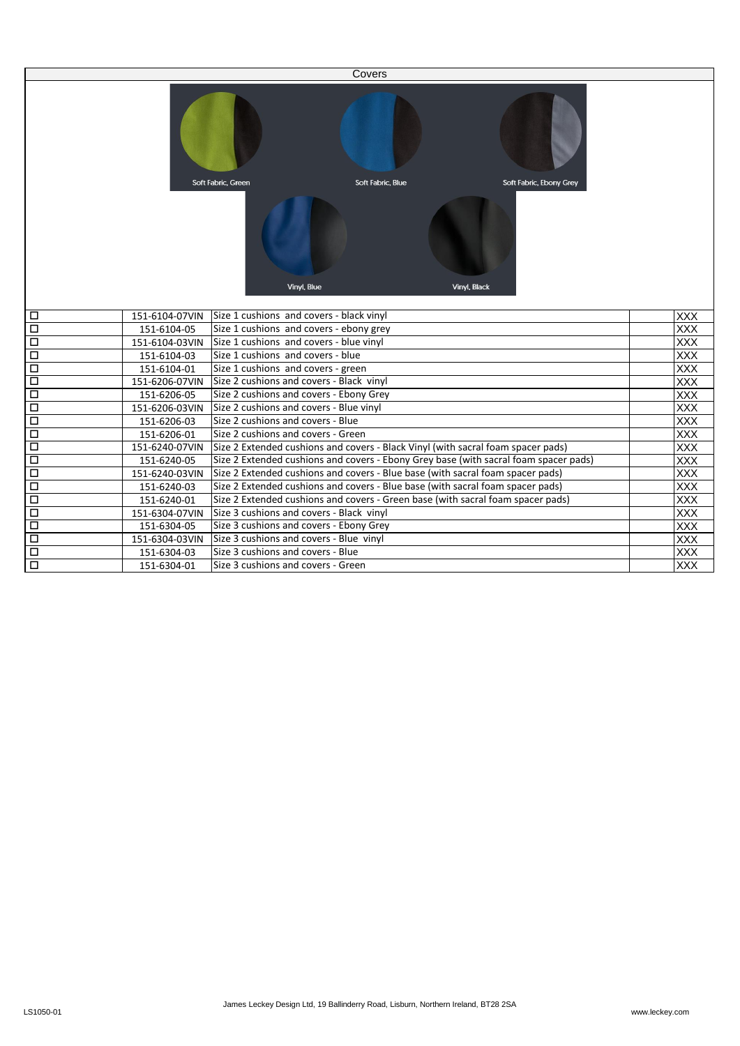|        |                |                                          | Covers                                                                               |                         |            |
|--------|----------------|------------------------------------------|--------------------------------------------------------------------------------------|-------------------------|------------|
|        |                |                                          |                                                                                      |                         |            |
|        |                | Soft Fabric, Green                       | Soft Fabric, Blue                                                                    | Soft Fabric, Ebony Grey |            |
|        |                |                                          | Vinyl, Blue                                                                          | Vinyl, Black            |            |
| □      | 151-6104-07VIN | Size 1 cushions and covers - black vinyl |                                                                                      |                         | <b>XXX</b> |
| $\Box$ | 151-6104-05    | Size 1 cushions and covers - ebony grey  |                                                                                      |                         | <b>XXX</b> |
| $\Box$ | 151-6104-03VIN | Size 1 cushions and covers - blue vinyl  |                                                                                      |                         | XXX        |
| $\Box$ | 151-6104-03    | Size 1 cushions and covers - blue        |                                                                                      |                         | XXX        |
| □      | 151-6104-01    | Size 1 cushions and covers - green       |                                                                                      |                         | <b>XXX</b> |
| $\Box$ | 151-6206-07VIN | Size 2 cushions and covers - Black vinyl |                                                                                      |                         | <b>XXX</b> |
| □      | 151-6206-05    | Size 2 cushions and covers - Ebony Grey  |                                                                                      |                         | <b>XXX</b> |
| $\Box$ | 151-6206-03VIN | Size 2 cushions and covers - Blue vinyl  |                                                                                      |                         | <b>XXX</b> |
| $\Box$ | 151-6206-03    | Size 2 cushions and covers - Blue        |                                                                                      |                         | <b>XXX</b> |
| $\Box$ | 151-6206-01    | Size 2 cushions and covers - Green       |                                                                                      |                         | <b>XXX</b> |
| $\Box$ | 151-6240-07VIN |                                          | Size 2 Extended cushions and covers - Black Vinyl (with sacral foam spacer pads)     |                         | XXX        |
| $\Box$ | 151-6240-05    |                                          | Size 2 Extended cushions and covers - Ebony Grey base (with sacral foam spacer pads) |                         | <b>XXX</b> |
| $\Box$ | 151-6240-03VIN |                                          | Size 2 Extended cushions and covers - Blue base (with sacral foam spacer pads)       |                         | <b>XXX</b> |
| $\Box$ | 151-6240-03    |                                          | Size 2 Extended cushions and covers - Blue base (with sacral foam spacer pads)       |                         | <b>XXX</b> |
| $\Box$ | 151-6240-01    |                                          | Size 2 Extended cushions and covers - Green base (with sacral foam spacer pads)      |                         | <b>XXX</b> |
| $\Box$ | 151-6304-07VIN | Size 3 cushions and covers - Black vinyl |                                                                                      |                         | <b>XXX</b> |
| □      | 151-6304-05    | Size 3 cushions and covers - Ebony Grey  |                                                                                      |                         | <b>XXX</b> |
| $\Box$ | 151-6304-03VIN | Size 3 cushions and covers - Blue vinyl  |                                                                                      |                         | <b>XXX</b> |
| □      | 151-6304-03    | Size 3 cushions and covers - Blue        |                                                                                      |                         | <b>XXX</b> |
| $\Box$ | 151-6304-01    | Size 3 cushions and covers - Green       |                                                                                      |                         | <b>XXX</b> |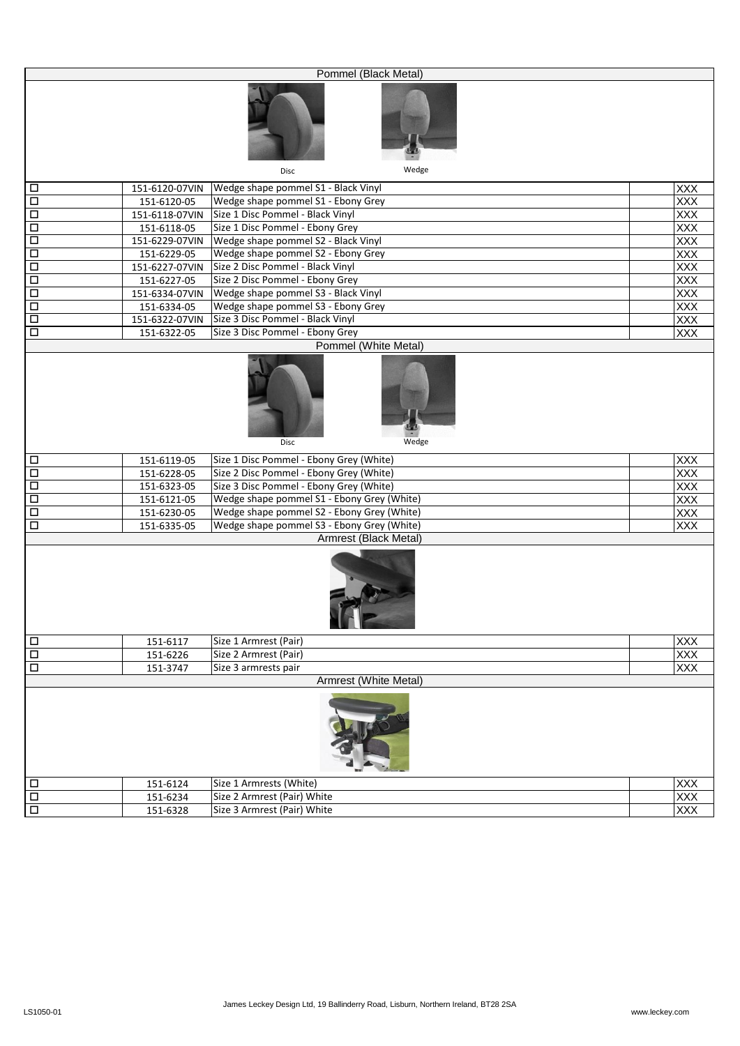|                      |                | Pommel (Black Metal)                                 |                   |
|----------------------|----------------|------------------------------------------------------|-------------------|
|                      |                |                                                      |                   |
|                      |                | Wedge<br><b>Disc</b>                                 |                   |
| $\Box$               |                | 151-6120-07VIN   Wedge shape pommel S1 - Black Vinyl | <b>XXX</b>        |
| $\Box$               | 151-6120-05    | Wedge shape pommel S1 - Ebony Grey                   | <b>XXX</b>        |
| $\Box$               | 151-6118-07VIN | Size 1 Disc Pommel - Black Vinyl                     | XXX               |
| $\Box$               | 151-6118-05    | Size 1 Disc Pommel - Ebony Grey                      | XXX               |
| $\Box$               |                | 151-6229-07VIN   Wedge shape pommel S2 - Black Vinyl | XXX               |
| $\Box$               | 151-6229-05    | Wedge shape pommel S2 - Ebony Grey                   | <b>XXX</b>        |
| Ξ                    | 151-6227-07VIN | Size 2 Disc Pommel - Black Vinyl                     | XXX               |
| $\Box$               | 151-6227-05    | Size 2 Disc Pommel - Ebony Grey                      | XXX               |
| Ξ                    |                | 151-6334-07VIN Wedge shape pommel S3 - Black Vinyl   | <b>XXX</b>        |
| $\Box$               | 151-6334-05    | Wedge shape pommel S3 - Ebony Grey                   | <b>XXX</b>        |
| Ξ                    | 151-6322-07VIN | Size 3 Disc Pommel - Black Vinyl                     | <b>XXX</b>        |
| $\Box$               | 151-6322-05    | Size 3 Disc Pommel - Ebony Grey                      | <b>XXX</b>        |
|                      |                | Pommel (White Metal)                                 |                   |
|                      |                | Wedge<br>Disc                                        |                   |
| $\Box$               | 151-6119-05    | Size 1 Disc Pommel - Ebony Grey (White)              | <b>XXX</b>        |
| $\Box$               | 151-6228-05    | Size 2 Disc Pommel - Ebony Grey (White)              | <b>XXX</b>        |
| $\Box$               | 151-6323-05    | Size 3 Disc Pommel - Ebony Grey (White)              | <b>XXX</b>        |
| $\Box$               | 151-6121-05    | Wedge shape pommel S1 - Ebony Grey (White)           | <b>XXX</b>        |
| $\Box$               | 151-6230-05    | Wedge shape pommel S2 - Ebony Grey (White)           | XXX               |
| $\Box$               | 151-6335-05    | Wedge shape pommel S3 - Ebony Grey (White)           | <b>XXX</b>        |
|                      |                | Armrest (Black Metal)                                |                   |
|                      |                | IF P                                                 |                   |
| $\Box$               | 151-6117       | Size 1 Armrest (Pair)                                | <b>XXX</b>        |
| $\Box$               | 151-6226       | Size 2 Armrest (Pair)                                | XXX               |
| $\Box$               | 151-3747       | Size 3 armrests pair                                 | <b>XXX</b>        |
|                      |                | Armrest (White Metal)                                |                   |
|                      |                |                                                      |                   |
| $\Box$               | 151-6124       | Size 1 Armrests (White)                              |                   |
| $\Box$               | 151-6234       | Size 2 Armrest (Pair) White                          | XXX<br>XXX<br>XXX |
| $\overline{\square}$ | 151-6328       | Size 3 Armrest (Pair) White                          |                   |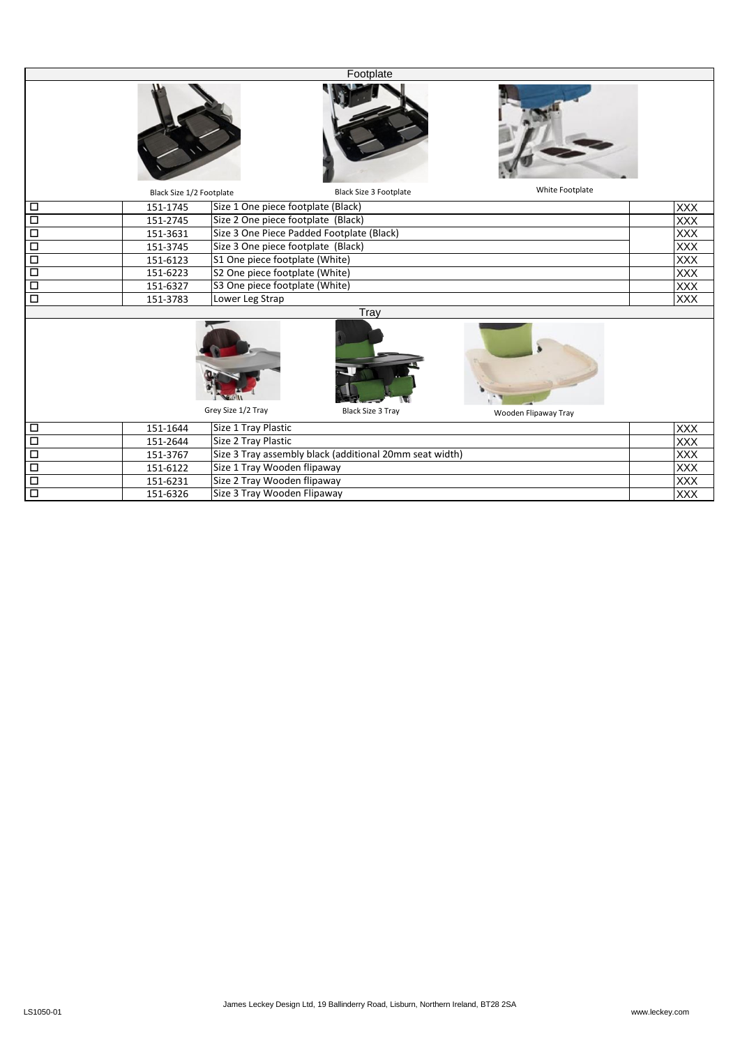|                      |                          |                                                         | Footplate                      |                      |                          |
|----------------------|--------------------------|---------------------------------------------------------|--------------------------------|----------------------|--------------------------|
|                      |                          |                                                         |                                |                      |                          |
|                      | Black Size 1/2 Footplate |                                                         | <b>Black Size 3 Footplate</b>  | White Footplate      |                          |
| $\Box$               | 151-1745                 | Size 1 One piece footplate (Black)                      |                                |                      | <b>XXX</b>               |
| $\overline{\Box}$    | 151-2745                 | Size 2 One piece footplate (Black)                      |                                |                      | <b>XXX</b>               |
| $\overline{\square}$ | 151-3631                 | Size 3 One Piece Padded Footplate (Black)               |                                |                      | <b>XXX</b>               |
| $\overline{\square}$ | 151-3745                 | Size 3 One piece footplate (Black)                      |                                |                      | <b>XXX</b>               |
| $\overline{\square}$ | 151-6123                 | S1 One piece footplate (White)                          |                                |                      | <b>XXX</b>               |
| $\overline{\square}$ | 151-6223                 | S2 One piece footplate (White)                          |                                |                      | $\overline{XXX}$         |
| $\Box$               | 151-6327                 |                                                         | S3 One piece footplate (White) |                      |                          |
| $\overline{\Box}$    | 151-3783                 | Lower Leg Strap                                         |                                |                      | <b>XXX</b><br><b>XXX</b> |
|                      |                          |                                                         | Tray                           |                      |                          |
|                      |                          |                                                         |                                |                      |                          |
|                      |                          | Grey Size 1/2 Tray                                      | <b>Black Size 3 Tray</b>       | Wooden Flipaway Tray |                          |
| $\Box$               | 151-1644                 | Size 1 Tray Plastic                                     |                                |                      | <b>XXX</b>               |
| $\overline{\square}$ | 151-2644                 | Size 2 Tray Plastic                                     |                                |                      | XXX                      |
| $\overline{\square}$ | 151-3767                 | Size 3 Tray assembly black (additional 20mm seat width) |                                |                      | <b>XXX</b>               |
| Ξ                    | 151-6122                 | Size 1 Tray Wooden flipaway                             |                                |                      | <b>XXX</b>               |
| $\overline{\square}$ | 151-6231                 | Size 2 Tray Wooden flipaway                             |                                |                      | <b>XXX</b>               |
| $\overline{\Box}$    | 151-6326                 | Size 3 Tray Wooden Flipaway                             |                                |                      | XXX                      |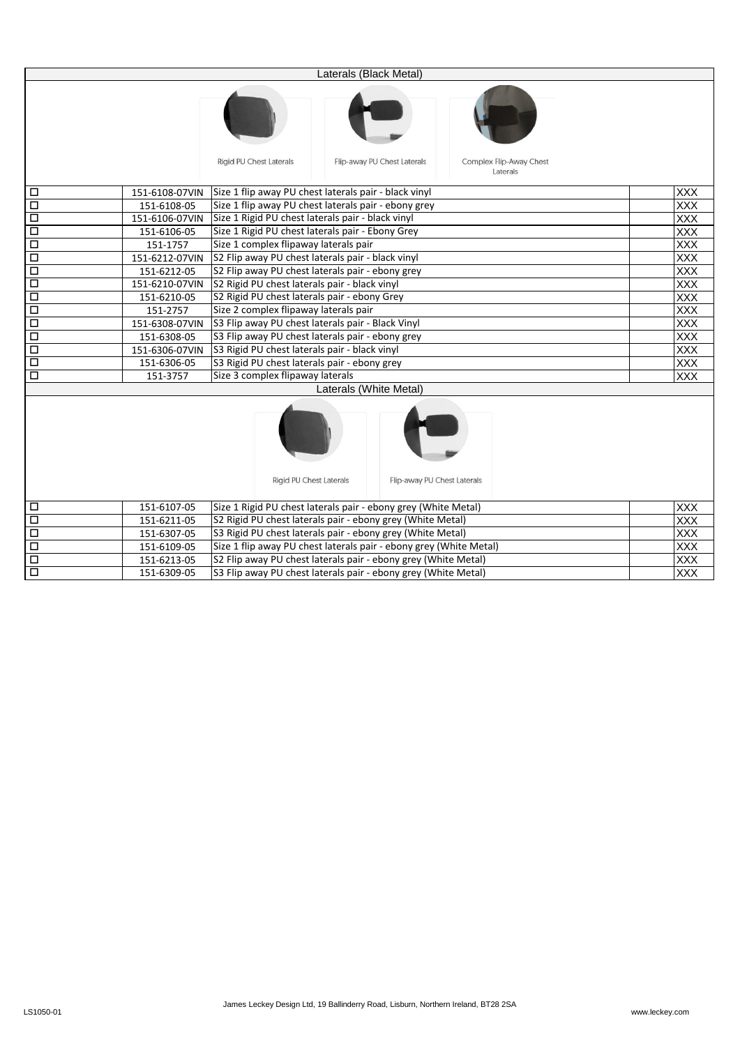|        |                | Laterals (Black Metal)                                                                               |            |  |
|--------|----------------|------------------------------------------------------------------------------------------------------|------------|--|
|        |                |                                                                                                      |            |  |
|        |                | <b>Rigid PU Chest Laterals</b><br>Flip-away PU Chest Laterals<br>Complex Flip-Away Chest<br>Laterals |            |  |
| $\Box$ | 151-6108-07VIN | Size 1 flip away PU chest laterals pair - black vinyl                                                | <b>XXX</b> |  |
| $\Box$ | 151-6108-05    | Size 1 flip away PU chest laterals pair - ebony grey                                                 | <b>XXX</b> |  |
| $\Box$ | 151-6106-07VIN | Size 1 Rigid PU chest laterals pair - black vinyl                                                    | XXX        |  |
| $\Box$ | 151-6106-05    | Size 1 Rigid PU chest laterals pair - Ebony Grey                                                     | <b>XXX</b> |  |
| □      | 151-1757       | Size 1 complex flipaway laterals pair                                                                | XXX        |  |
| $\Box$ | 151-6212-07VIN | S2 Flip away PU chest laterals pair - black vinyl                                                    | <b>XXX</b> |  |
| $\Box$ | 151-6212-05    | S2 Flip away PU chest laterals pair - ebony grey                                                     | <b>XXX</b> |  |
| $\Box$ | 151-6210-07VIN | S2 Rigid PU chest laterals pair - black vinyl                                                        | <b>XXX</b> |  |
| $\Box$ | 151-6210-05    | S2 Rigid PU chest laterals pair - ebony Grey                                                         | <b>XXX</b> |  |
| $\Box$ | 151-2757       | Size 2 complex flipaway laterals pair                                                                | <b>XXX</b> |  |
| $\Box$ | 151-6308-07VIN | S3 Flip away PU chest laterals pair - Black Vinyl                                                    | <b>XXX</b> |  |
| $\Box$ | 151-6308-05    | S3 Flip away PU chest laterals pair - ebony grey                                                     | <b>XXX</b> |  |
| □      | 151-6306-07VIN | S3 Rigid PU chest laterals pair - black vinyl                                                        | <b>XXX</b> |  |
| $\Box$ | 151-6306-05    | S3 Rigid PU chest laterals pair - ebony grey                                                         | <b>XXX</b> |  |
| $\Box$ | 151-3757       | Size 3 complex flipaway laterals                                                                     | <b>XXX</b> |  |
|        |                | Laterals (White Metal)                                                                               |            |  |
|        |                | <b>Rigid PU Chest Laterals</b><br>Flip-away PU Chest Laterals                                        |            |  |
| □      | 151-6107-05    | Size 1 Rigid PU chest laterals pair - ebony grey (White Metal)                                       | <b>XXX</b> |  |
| $\Box$ | 151-6211-05    | S2 Rigid PU chest laterals pair - ebony grey (White Metal)                                           |            |  |
| $\Box$ | 151-6307-05    | S3 Rigid PU chest laterals pair - ebony grey (White Metal)                                           |            |  |
| $\Box$ | 151-6109-05    | Size 1 flip away PU chest laterals pair - ebony grey (White Metal)                                   |            |  |
| □      | 151-6213-05    | <b>XXX</b><br><b>XXX</b><br>S2 Flip away PU chest laterals pair - ebony grey (White Metal)           |            |  |
| $\Box$ | 151-6309-05    | S3 Flip away PU chest laterals pair - ebony grey (White Metal)                                       | <b>XXX</b> |  |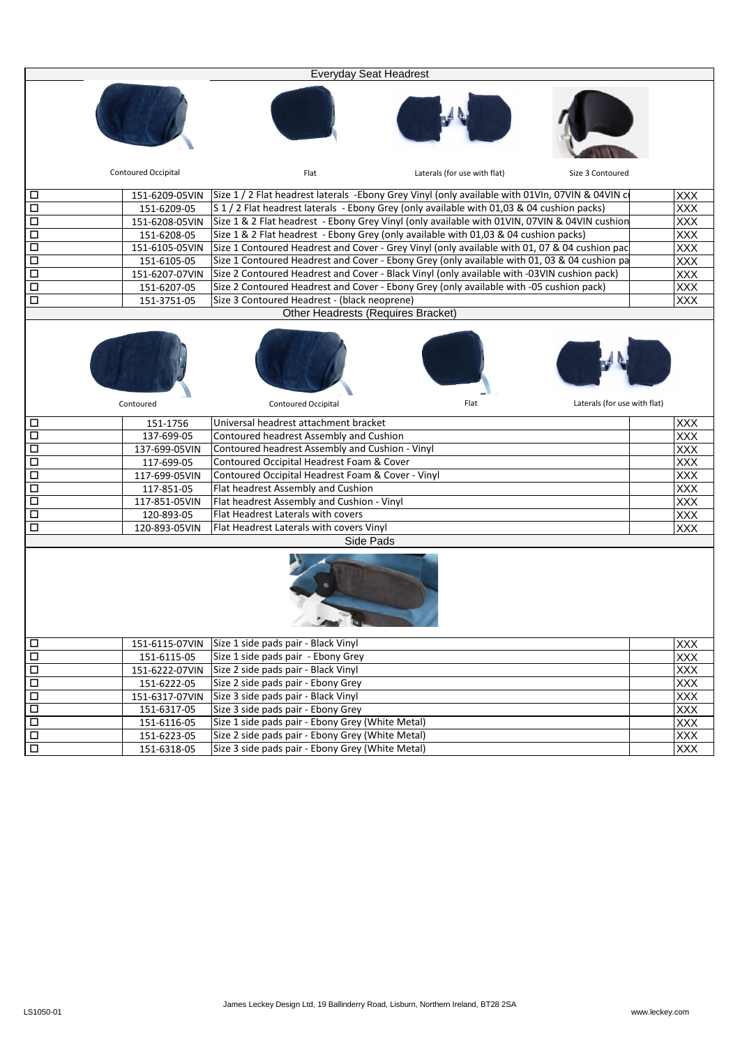|                      |                            | <b>Everyday Seat Headrest</b>                                                                   |            |  |  |
|----------------------|----------------------------|-------------------------------------------------------------------------------------------------|------------|--|--|
|                      |                            |                                                                                                 |            |  |  |
|                      | <b>Contoured Occipital</b> | Laterals (for use with flat)<br>Flat<br>Size 3 Contoured                                        |            |  |  |
| □                    | 151-6209-05VIN             | Size 1 / 2 Flat headrest laterals -Ebony Grey Vinyl (only available with 01VIn, 07VIN & 04VIN c | <b>XXX</b> |  |  |
| $\Box$               | 151-6209-05                | S 1 / 2 Flat headrest laterals - Ebony Grey (only available with 01,03 & 04 cushion packs)      | <b>XXX</b> |  |  |
| $\Box$               | 151-6208-05VIN             | Size 1 & 2 Flat headrest - Ebony Grey Vinyl (only available with 01VIN, 07VIN & 04VIN cushion   | XXX        |  |  |
| $\Box$               | 151-6208-05                | Size 1 & 2 Flat headrest - Ebony Grey (only available with 01,03 & 04 cushion packs)            | <b>XXX</b> |  |  |
| $\Box$               | 151-6105-05VIN             | Size 1 Contoured Headrest and Cover - Grey Vinyl (only available with 01, 07 & 04 cushion pac   | <b>XXX</b> |  |  |
| Δ                    | 151-6105-05                | Size 1 Contoured Headrest and Cover - Ebony Grey (only available with 01, 03 & 04 cushion pa    | <b>XXX</b> |  |  |
| $\Box$               | 151-6207-07VIN             | Size 2 Contoured Headrest and Cover - Black Vinyl (only available with -03VIN cushion pack)     | <b>XXX</b> |  |  |
| Ξ                    | 151-6207-05                | Size 2 Contoured Headrest and Cover - Ebony Grey (only available with -05 cushion pack)         | XXX        |  |  |
| $\Box$               | 151-3751-05                | Size 3 Contoured Headrest - (black neoprene)                                                    | XXX        |  |  |
|                      |                            | Other Headrests (Requires Bracket)                                                              |            |  |  |
|                      |                            |                                                                                                 |            |  |  |
|                      | Contoured                  | Laterals (for use with flat)<br>Flat<br><b>Contoured Occipital</b>                              |            |  |  |
| □                    | 151-1756                   | Universal headrest attachment bracket                                                           | <b>XXX</b> |  |  |
| $\Box$               | 137-699-05                 | Contoured headrest Assembly and Cushion                                                         | <b>XXX</b> |  |  |
| $\Box$               | 137-699-05VIN              | Contoured headrest Assembly and Cushion - Vinyl                                                 | XXX        |  |  |
| $\Box$               | 117-699-05                 | Contoured Occipital Headrest Foam & Cover                                                       | <b>XXX</b> |  |  |
| $\Box$               | 117-699-05VIN              | Contoured Occipital Headrest Foam & Cover - Vinyl                                               | <b>XXX</b> |  |  |
| $\overline{\square}$ | 117-851-05                 | Flat headrest Assembly and Cushion                                                              | <b>XXX</b> |  |  |
| $\Box$               | 117-851-05VIN              | Flat headrest Assembly and Cushion - Vinyl                                                      | <b>XXX</b> |  |  |
| $\overline{\square}$ | 120-893-05                 | Flat Headrest Laterals with covers                                                              | <b>XXX</b> |  |  |
| $\Box$               | 120-893-05VIN              | Flat Headrest Laterals with covers Vinyl                                                        | <b>XXX</b> |  |  |
| Side Pads            |                            |                                                                                                 |            |  |  |
| $\Box$               | 151-6115-07VIN             | Size 1 side pads pair - Black Vinyl                                                             | <b>XXX</b> |  |  |
| $\Box$               | 151-6115-05                | Size 1 side pads pair - Ebony Grey                                                              | <b>XXX</b> |  |  |
| $\Box$               | 151-6222-07VIN             | Size 2 side pads pair - Black Vinyl                                                             | <b>XXX</b> |  |  |
| $\overline{\square}$ | 151-6222-05                | Size 2 side pads pair - Ebony Grey                                                              | <b>XXX</b> |  |  |
| $\Box$               | 151-6317-07VIN             | Size 3 side pads pair - Black Vinyl                                                             | <b>XXX</b> |  |  |
| Ξ                    | 151-6317-05                | Size 3 side pads pair - Ebony Grey                                                              | <b>XXX</b> |  |  |
| Ξ                    | 151-6116-05                | Size 1 side pads pair - Ebony Grey (White Metal)                                                | <b>XXX</b> |  |  |
| $\overline{\square}$ | 151-6223-05                | Size 2 side pads pair - Ebony Grey (White Metal)                                                | XXX        |  |  |
| $\overline{\square}$ | 151-6318-05                | Size 3 side pads pair - Ebony Grey (White Metal)                                                | <b>XXX</b> |  |  |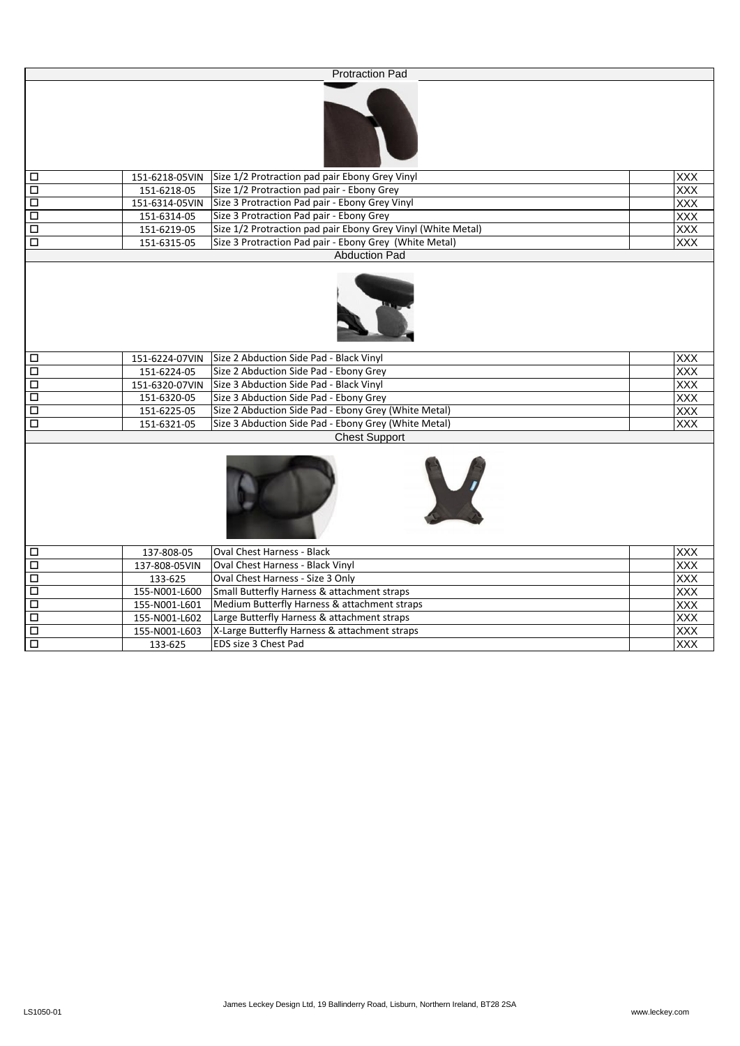|                      |                | <b>Protraction Pad</b>                                       |            |
|----------------------|----------------|--------------------------------------------------------------|------------|
|                      |                |                                                              |            |
| $\Box$               | 151-6218-05VIN | Size 1/2 Protraction pad pair Ebony Grey Vinyl               | XXX        |
| $\overline{\Box}$    | 151-6218-05    | Size 1/2 Protraction pad pair - Ebony Grey                   | <b>XXX</b> |
| $\overline{\square}$ | 151-6314-05VIN | Size 3 Protraction Pad pair - Ebony Grey Vinyl               | XXX        |
| $\overline{\square}$ | 151-6314-05    | Size 3 Protraction Pad pair - Ebony Grey                     | XXX        |
| Ξ                    | 151-6219-05    | Size 1/2 Protraction pad pair Ebony Grey Vinyl (White Metal) | <b>XXX</b> |
| $\overline{\square}$ | 151-6315-05    | Size 3 Protraction Pad pair - Ebony Grey (White Metal)       | <b>XXX</b> |
|                      |                | <b>Abduction Pad</b>                                         |            |
|                      |                |                                                              |            |
| Ξ                    | 151-6224-07VIN | Size 2 Abduction Side Pad - Black Vinyl                      | XXX        |
| $\overline{\square}$ | 151-6224-05    | Size 2 Abduction Side Pad - Ebony Grey                       | <b>XXX</b> |
| $\overline{\Box}$    | 151-6320-07VIN | Size 3 Abduction Side Pad - Black Vinyl                      | <b>XXX</b> |
| $\overline{\square}$ | 151-6320-05    | Size 3 Abduction Side Pad - Ebony Grey                       | XXX        |
| $\overline{\square}$ | 151-6225-05    | Size 2 Abduction Side Pad - Ebony Grey (White Metal)         | <b>XXX</b> |
| $\overline{\square}$ | 151-6321-05    | Size 3 Abduction Side Pad - Ebony Grey (White Metal)         | <b>XXX</b> |
|                      |                | <b>Chest Support</b>                                         |            |
|                      |                | V                                                            |            |
| $\Box$               | 137-808-05     | <b>Oval Chest Harness - Black</b>                            | XXX        |
| $\overline{\Box}$    | 137-808-05VIN  | Oval Chest Harness - Black Vinyl                             | <b>XXX</b> |

| 137-808-05VIN | <b>Oval Chest Harness - Black Vinyl</b>       | <b>XXX</b> |
|---------------|-----------------------------------------------|------------|
| 133-625       | Oval Chest Harness - Size 3 Only              | <b>XXX</b> |
| 155-N001-L600 | Small Butterfly Harness & attachment straps   | <b>XXX</b> |
| 155-N001-L601 | Medium Butterfly Harness & attachment straps  | <b>XXX</b> |
| 155-N001-L602 | Large Butterfly Harness & attachment straps   | <b>XXX</b> |
| 155-N001-L603 | X-Large Butterfly Harness & attachment straps | <b>XXX</b> |
| 133-625       | <b>IEDS size 3 Chest Pad</b>                  | <b>XXX</b> |